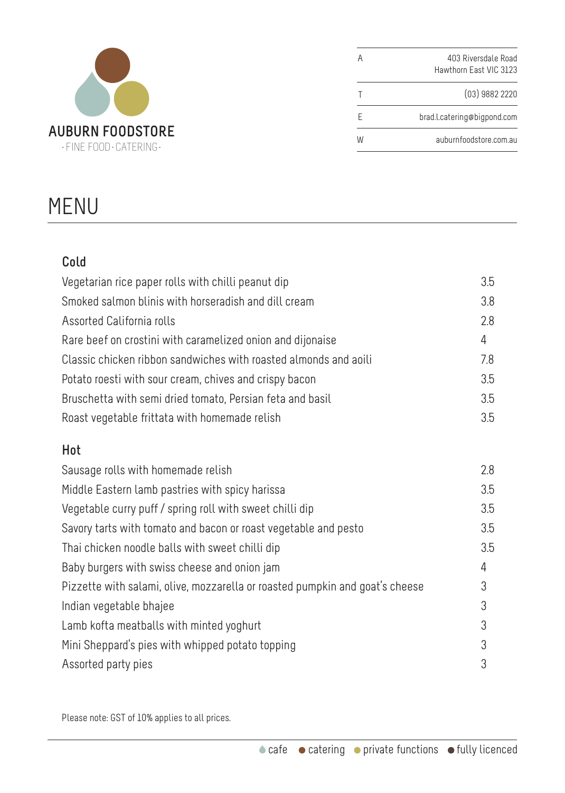

|   | 403 Riversdale Road         |
|---|-----------------------------|
|   | Hawthorn Fast VIC 3123      |
|   | $(03)$ 9882 2220            |
|   | brad.l.catering@bigpond.com |
| W | auburnfoodstore.com.au      |

## MENU

| Cold                                                                         |     |
|------------------------------------------------------------------------------|-----|
| Vegetarian rice paper rolls with chilli peanut dip                           | 3.5 |
| Smoked salmon blinis with horseradish and dill cream                         | 3.8 |
| Assorted California rolls                                                    | 2.8 |
| Rare beef on crostini with caramelized onion and dijonaise                   | 4   |
| Classic chicken ribbon sandwiches with roasted almonds and aoili             | 7.8 |
| Potato roesti with sour cream, chives and crispy bacon                       | 3.5 |
| Bruschetta with semi dried tomato, Persian feta and basil                    | 3.5 |
| Roast vegetable frittata with homemade relish                                | 3.5 |
| Hot                                                                          |     |
| Sausage rolls with homemade relish                                           | 2.8 |
| Middle Eastern lamb pastries with spicy harissa                              | 3.5 |
| Vegetable curry puff / spring roll with sweet chilli dip                     | 3.5 |
| Savory tarts with tomato and bacon or roast vegetable and pesto              | 3.5 |
| Thai chicken noodle balls with sweet chilli dip                              | 3.5 |
| Baby burgers with swiss cheese and onion jam                                 | 4   |
| Pizzette with salami, olive, mozzarella or roasted pumpkin and goat's cheese | 3   |
| Indian vegetable bhajee                                                      | 3   |
| Lamb kofta meatballs with minted yoghurt                                     | 3   |
| Mini Sheppard's pies with whipped potato topping                             | 3   |
| Assorted party pies                                                          | 3   |

Please note: GST of 10% applies to all prices.